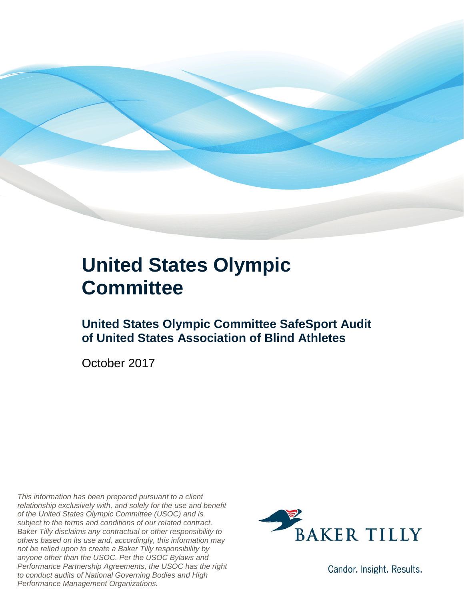

### **United States Olympic Committee**

**United States Olympic Committee SafeSport Audit of United States Association of Blind Athletes**

October 2017

*This information has been prepared pursuant to a client relationship exclusively with, and solely for the use and benefit of the United States Olympic Committee (USOC) and is subject to the terms and conditions of our related contract. Baker Tilly disclaims any contractual or other responsibility to others based on its use and, accordingly, this information may not be relied upon to create a Baker Tilly responsibility by anyone other than the USOC. Per the USOC Bylaws and Performance Partnership Agreements, the USOC has the right to conduct audits of National Governing Bodies and High Performance Management Organizations.*



Candor. Insight. Results.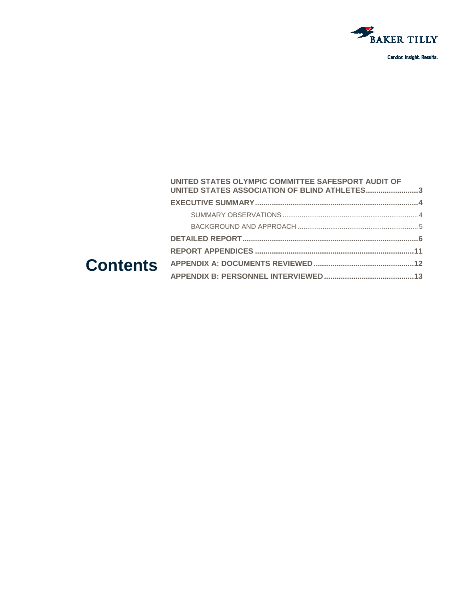

Candor. Insight. Results.

#### **Contents [UNITED STATES OLYMPIC COMMITTEE SAFESPORT AUDIT OF](#page-2-0)  [UNITED STATES ASSOCIATION OF BLIND ATHLETES.........................3](#page-2-0) [EXECUTIVE SUMMARY..............................................................................4](#page-3-0)** SUMMARY OBSERVATIONS [.......................................................................4](#page-3-1) BACKGROUND AND APPROACH [...............................................................5](#page-3-2) **[DETAILED REPORT....................................................................................6](#page-3-3) REPORT APPENDICES [............................................................................11](#page-10-0) [APPENDIX A: DOCUMENTS REVIEWED................................................12](#page-11-0) [APPENDIX B: PERSONNEL INTERVIEWED...........................................13](#page-12-0)**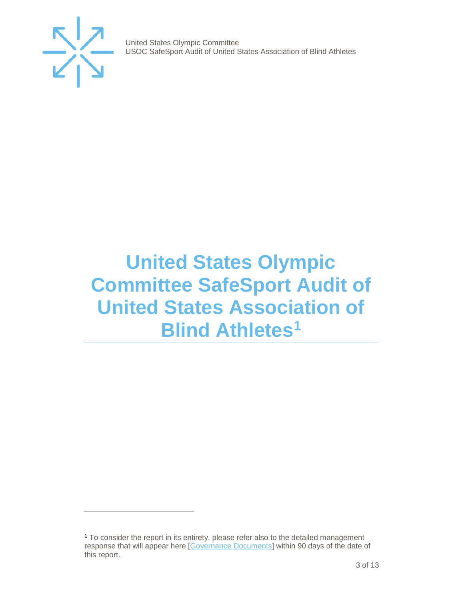

j

United States Olympic Committee USOC SafeSport Audit of United States Association of Blind Athletes

## <span id="page-2-0"></span>**United States Olympic Committee SafeSport Audit of United States Association of Blind Athletes[1](#page-2-1)**

<span id="page-2-1"></span><sup>1</sup> To consider the report in its entirety, please refer also to the detailed management response that will appear here [\[Governance Documents\]](https://www.teamusa.org/Footer/Legal/Governance-Documents) within 90 days of the date of this report.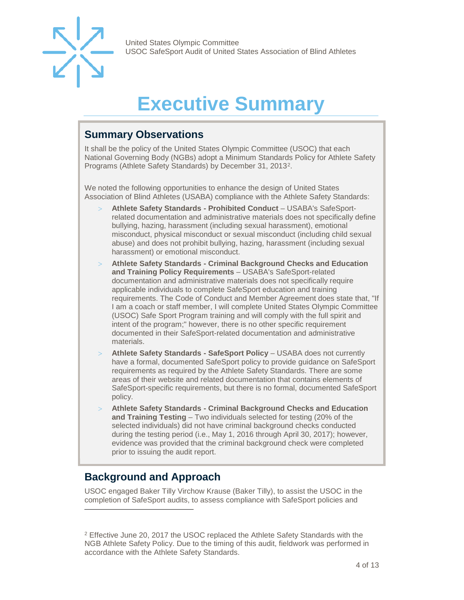

## **Executive Summary**

### <span id="page-3-1"></span><span id="page-3-0"></span>**Summary Observations**

It shall be the policy of the United States Olympic Committee (USOC) that each National Governing Body (NGBs) adopt a Minimum Standards Policy for Athlete Safety Programs (Athlete Safety Standards) by December 31, 2013[2](#page-3-4).

We noted the following opportunities to enhance the design of United States Association of Blind Athletes (USABA) compliance with the Athlete Safety Standards:

- > **Athlete Safety Standards - Prohibited Conduct**  USABA's SafeSportrelated documentation and administrative materials does not specifically define bullying, hazing, harassment (including sexual harassment), emotional misconduct, physical misconduct or sexual misconduct (including child sexual abuse) and does not prohibit bullying, hazing, harassment (including sexual harassment) or emotional misconduct.
- > **Athlete Safety Standards - Criminal Background Checks and Education and Training Policy Requirements** – USABA's SafeSport-related documentation and administrative materials does not specifically require applicable individuals to complete SafeSport education and training requirements. The Code of Conduct and Member Agreement does state that, "If I am a coach or staff member, I will complete United States Olympic Committee (USOC) Safe Sport Program training and will comply with the full spirit and intent of the program;" however, there is no other specific requirement documented in their SafeSport-related documentation and administrative materials.
- > **Athlete Safety Standards - SafeSport Policy**  USABA does not currently have a formal, documented SafeSport policy to provide guidance on SafeSport requirements as required by the Athlete Safety Standards. There are some areas of their website and related documentation that contains elements of SafeSport-specific requirements, but there is no formal, documented SafeSport policy.
- > **Athlete Safety Standards - Criminal Background Checks and Education and Training Testing** – Two individuals selected for testing (20% of the selected individuals) did not have criminal background checks conducted during the testing period (i.e., May 1, 2016 through April 30, 2017); however, evidence was provided that the criminal background check were completed prior to issuing the audit report.

### <span id="page-3-2"></span>**Background and Approach**

-

<span id="page-3-3"></span>USOC engaged Baker Tilly Virchow Krause (Baker Tilly), to assist the USOC in the completion of SafeSport audits, to assess compliance with SafeSport policies and

<span id="page-3-4"></span><sup>2</sup> Effective June 20, 2017 the USOC replaced the Athlete Safety Standards with the NGB Athlete Safety Policy. Due to the timing of this audit, fieldwork was performed in accordance with the Athlete Safety Standards.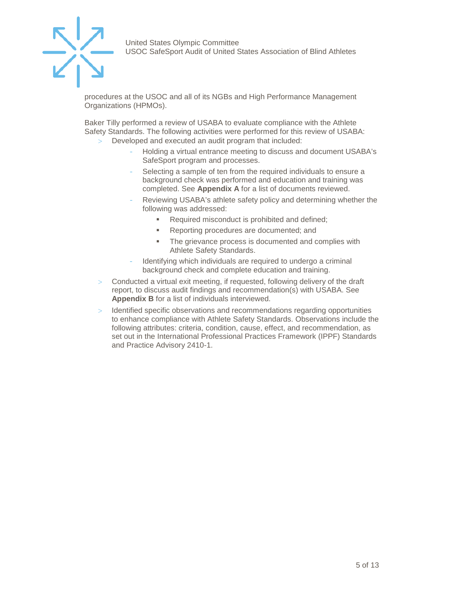

procedures at the USOC and all of its NGBs and High Performance Management Organizations (HPMOs).

Baker Tilly performed a review of USABA to evaluate compliance with the Athlete Safety Standards. The following activities were performed for this review of USABA: Developed and executed an audit program that included:

- Holding a virtual entrance meeting to discuss and document USABA's SafeSport program and processes.
- Selecting a sample of ten from the required individuals to ensure a background check was performed and education and training was completed. See **Appendix A** for a list of documents reviewed.
- Reviewing USABA's athlete safety policy and determining whether the following was addressed:
	- **Required misconduct is prohibited and defined;**
	- **Reporting procedures are documented; and**
	- **The grievance process is documented and complies with** Athlete Safety Standards.
- Identifying which individuals are required to undergo a criminal background check and complete education and training.
- > Conducted a virtual exit meeting, if requested, following delivery of the draft report, to discuss audit findings and recommendation(s) with USABA. See **Appendix B** for a list of individuals interviewed.
- Identified specific observations and recommendations regarding opportunities to enhance compliance with Athlete Safety Standards. Observations include the following attributes: criteria, condition, cause, effect, and recommendation, as set out in the International Professional Practices Framework (IPPF) Standards and Practice Advisory 2410-1.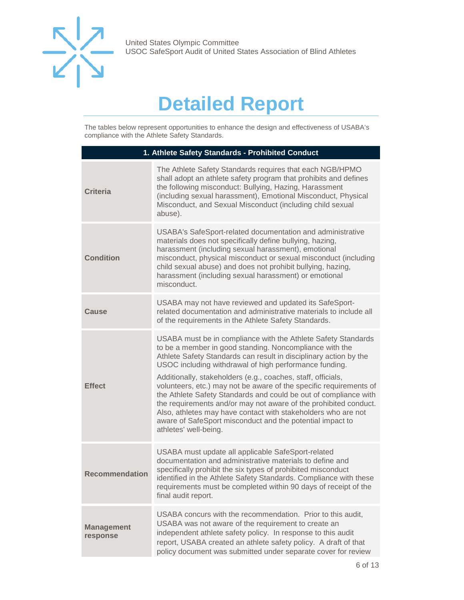

## **Detailed Report**

The tables below represent opportunities to enhance the design and effectiveness of USABA's compliance with the Athlete Safety Standards.

| 1. Athlete Safety Standards - Prohibited Conduct |                                                                                                                                                                                                                                                                                                                                                                                                                                                                                                                                                                                                                                                                                              |
|--------------------------------------------------|----------------------------------------------------------------------------------------------------------------------------------------------------------------------------------------------------------------------------------------------------------------------------------------------------------------------------------------------------------------------------------------------------------------------------------------------------------------------------------------------------------------------------------------------------------------------------------------------------------------------------------------------------------------------------------------------|
| <b>Criteria</b>                                  | The Athlete Safety Standards requires that each NGB/HPMO<br>shall adopt an athlete safety program that prohibits and defines<br>the following misconduct: Bullying, Hazing, Harassment<br>(including sexual harassment), Emotional Misconduct, Physical<br>Misconduct, and Sexual Misconduct (including child sexual<br>abuse).                                                                                                                                                                                                                                                                                                                                                              |
| <b>Condition</b>                                 | USABA's SafeSport-related documentation and administrative<br>materials does not specifically define bullying, hazing,<br>harassment (including sexual harassment), emotional<br>misconduct, physical misconduct or sexual misconduct (including<br>child sexual abuse) and does not prohibit bullying, hazing,<br>harassment (including sexual harassment) or emotional<br>misconduct.                                                                                                                                                                                                                                                                                                      |
| <b>Cause</b>                                     | USABA may not have reviewed and updated its SafeSport-<br>related documentation and administrative materials to include all<br>of the requirements in the Athlete Safety Standards.                                                                                                                                                                                                                                                                                                                                                                                                                                                                                                          |
| <b>Effect</b>                                    | USABA must be in compliance with the Athlete Safety Standards<br>to be a member in good standing. Noncompliance with the<br>Athlete Safety Standards can result in disciplinary action by the<br>USOC including withdrawal of high performance funding.<br>Additionally, stakeholders (e.g., coaches, staff, officials,<br>volunteers, etc.) may not be aware of the specific requirements of<br>the Athlete Safety Standards and could be out of compliance with<br>the requirements and/or may not aware of the prohibited conduct.<br>Also, athletes may have contact with stakeholders who are not<br>aware of SafeSport misconduct and the potential impact to<br>athletes' well-being. |
| <b>Recommendation</b>                            | USABA must update all applicable SafeSport-related<br>documentation and administrative materials to define and<br>specifically prohibit the six types of prohibited misconduct<br>identified in the Athlete Safety Standards. Compliance with these<br>requirements must be completed within 90 days of receipt of the<br>final audit report.                                                                                                                                                                                                                                                                                                                                                |
| <b>Management</b><br>response                    | USABA concurs with the recommendation. Prior to this audit,<br>USABA was not aware of the requirement to create an<br>independent athlete safety policy. In response to this audit<br>report, USABA created an athlete safety policy. A draft of that<br>policy document was submitted under separate cover for review                                                                                                                                                                                                                                                                                                                                                                       |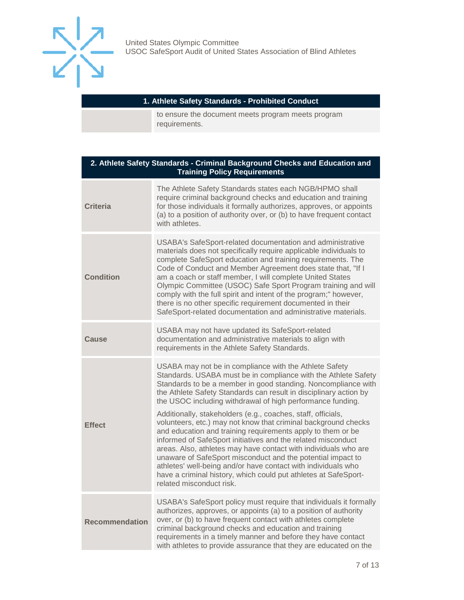

#### **1. Athlete Safety Standards - Prohibited Conduct**

to ensure the document meets program meets program requirements.

| 2. Athlete Safety Standards - Criminal Background Checks and Education and<br><b>Training Policy Requirements</b> |                                                                                                                                                                                                                                                                                                                                                                                                                                                                                                                                                                                                                                                                                                                                                                                                                                                                                                 |  |
|-------------------------------------------------------------------------------------------------------------------|-------------------------------------------------------------------------------------------------------------------------------------------------------------------------------------------------------------------------------------------------------------------------------------------------------------------------------------------------------------------------------------------------------------------------------------------------------------------------------------------------------------------------------------------------------------------------------------------------------------------------------------------------------------------------------------------------------------------------------------------------------------------------------------------------------------------------------------------------------------------------------------------------|--|
| <b>Criteria</b>                                                                                                   | The Athlete Safety Standards states each NGB/HPMO shall<br>require criminal background checks and education and training<br>for those individuals it formally authorizes, approves, or appoints<br>(a) to a position of authority over, or (b) to have frequent contact<br>with athletes.                                                                                                                                                                                                                                                                                                                                                                                                                                                                                                                                                                                                       |  |
| <b>Condition</b>                                                                                                  | USABA's SafeSport-related documentation and administrative<br>materials does not specifically require applicable individuals to<br>complete SafeSport education and training requirements. The<br>Code of Conduct and Member Agreement does state that, "If I<br>am a coach or staff member, I will complete United States<br>Olympic Committee (USOC) Safe Sport Program training and will<br>comply with the full spirit and intent of the program;" however,<br>there is no other specific requirement documented in their<br>SafeSport-related documentation and administrative materials.                                                                                                                                                                                                                                                                                                  |  |
| Cause                                                                                                             | USABA may not have updated its SafeSport-related<br>documentation and administrative materials to align with<br>requirements in the Athlete Safety Standards.                                                                                                                                                                                                                                                                                                                                                                                                                                                                                                                                                                                                                                                                                                                                   |  |
| <b>Effect</b>                                                                                                     | USABA may not be in compliance with the Athlete Safety<br>Standards. USABA must be in compliance with the Athlete Safety<br>Standards to be a member in good standing. Noncompliance with<br>the Athlete Safety Standards can result in disciplinary action by<br>the USOC including withdrawal of high performance funding.<br>Additionally, stakeholders (e.g., coaches, staff, officials,<br>volunteers, etc.) may not know that criminal background checks<br>and education and training requirements apply to them or be<br>informed of SafeSport initiatives and the related misconduct<br>areas. Also, athletes may have contact with individuals who are<br>unaware of SafeSport misconduct and the potential impact to<br>athletes' well-being and/or have contact with individuals who<br>have a criminal history, which could put athletes at SafeSport-<br>related misconduct risk. |  |
| <b>Recommendation</b>                                                                                             | USABA's SafeSport policy must require that individuals it formally<br>authorizes, approves, or appoints (a) to a position of authority<br>over, or (b) to have frequent contact with athletes complete<br>criminal background checks and education and training<br>requirements in a timely manner and before they have contact<br>with athletes to provide assurance that they are educated on the                                                                                                                                                                                                                                                                                                                                                                                                                                                                                             |  |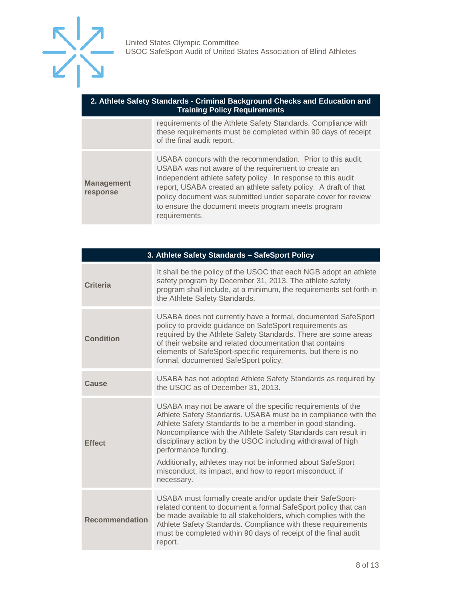

| 2. Athlete Safety Standards - Criminal Background Checks and Education and<br><b>Training Policy Requirements</b> |                                                                                                                                                                                                                                                                                                                                                                                               |  |
|-------------------------------------------------------------------------------------------------------------------|-----------------------------------------------------------------------------------------------------------------------------------------------------------------------------------------------------------------------------------------------------------------------------------------------------------------------------------------------------------------------------------------------|--|
|                                                                                                                   | requirements of the Athlete Safety Standards. Compliance with<br>these requirements must be completed within 90 days of receipt<br>of the final audit report.                                                                                                                                                                                                                                 |  |
| <b>Management</b><br>response                                                                                     | USABA concurs with the recommendation. Prior to this audit,<br>USABA was not aware of the requirement to create an<br>independent athlete safety policy. In response to this audit<br>report, USABA created an athlete safety policy. A draft of that<br>policy document was submitted under separate cover for review<br>to ensure the document meets program meets program<br>requirements. |  |

| 3. Athlete Safety Standards - SafeSport Policy |                                                                                                                                                                                                                                                                                                                                                                                                                                                                                            |  |
|------------------------------------------------|--------------------------------------------------------------------------------------------------------------------------------------------------------------------------------------------------------------------------------------------------------------------------------------------------------------------------------------------------------------------------------------------------------------------------------------------------------------------------------------------|--|
| Criteria                                       | It shall be the policy of the USOC that each NGB adopt an athlete<br>safety program by December 31, 2013. The athlete safety<br>program shall include, at a minimum, the requirements set forth in<br>the Athlete Safety Standards.                                                                                                                                                                                                                                                        |  |
| <b>Condition</b>                               | USABA does not currently have a formal, documented SafeSport<br>policy to provide guidance on SafeSport requirements as<br>required by the Athlete Safety Standards. There are some areas<br>of their website and related documentation that contains<br>elements of SafeSport-specific requirements, but there is no<br>formal, documented SafeSport policy.                                                                                                                              |  |
| Cause                                          | USABA has not adopted Athlete Safety Standards as required by<br>the USOC as of December 31, 2013.                                                                                                                                                                                                                                                                                                                                                                                         |  |
| <b>Effect</b>                                  | USABA may not be aware of the specific requirements of the<br>Athlete Safety Standards. USABA must be in compliance with the<br>Athlete Safety Standards to be a member in good standing.<br>Noncompliance with the Athlete Safety Standards can result in<br>disciplinary action by the USOC including withdrawal of high<br>performance funding.<br>Additionally, athletes may not be informed about SafeSport<br>misconduct, its impact, and how to report misconduct, if<br>necessary. |  |
| <b>Recommendation</b>                          | USABA must formally create and/or update their SafeSport-<br>related content to document a formal SafeSport policy that can<br>be made available to all stakeholders, which complies with the<br>Athlete Safety Standards. Compliance with these requirements<br>must be completed within 90 days of receipt of the final audit<br>report.                                                                                                                                                 |  |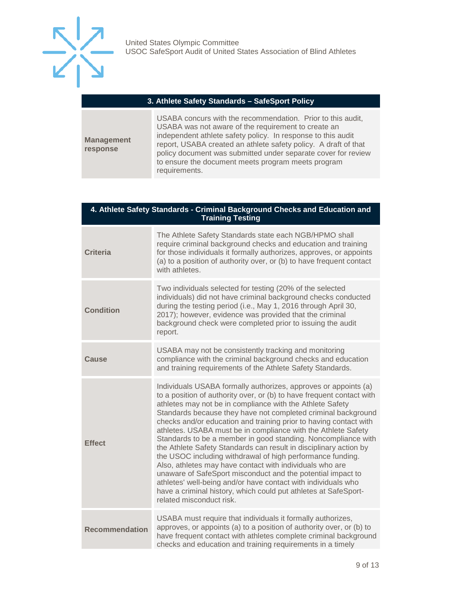

#### **3. Athlete Safety Standards – SafeSport Policy**

**Management response**

USABA concurs with the recommendation. Prior to this audit, USABA was not aware of the requirement to create an independent athlete safety policy. In response to this audit report, USABA created an athlete safety policy. A draft of that policy document was submitted under separate cover for review to ensure the document meets program meets program requirements.

| 4. Athlete Safety Standards - Criminal Background Checks and Education and<br><b>Training Testing</b> |                                                                                                                                                                                                                                                                                                                                                                                                                                                                                                                                                                                                                                                                                                                                                                                                                                                                                                             |  |
|-------------------------------------------------------------------------------------------------------|-------------------------------------------------------------------------------------------------------------------------------------------------------------------------------------------------------------------------------------------------------------------------------------------------------------------------------------------------------------------------------------------------------------------------------------------------------------------------------------------------------------------------------------------------------------------------------------------------------------------------------------------------------------------------------------------------------------------------------------------------------------------------------------------------------------------------------------------------------------------------------------------------------------|--|
| <b>Criteria</b>                                                                                       | The Athlete Safety Standards state each NGB/HPMO shall<br>require criminal background checks and education and training<br>for those individuals it formally authorizes, approves, or appoints<br>(a) to a position of authority over, or (b) to have frequent contact<br>with athletes.                                                                                                                                                                                                                                                                                                                                                                                                                                                                                                                                                                                                                    |  |
| <b>Condition</b>                                                                                      | Two individuals selected for testing (20% of the selected<br>individuals) did not have criminal background checks conducted<br>during the testing period (i.e., May 1, 2016 through April 30,<br>2017); however, evidence was provided that the criminal<br>background check were completed prior to issuing the audit<br>report.                                                                                                                                                                                                                                                                                                                                                                                                                                                                                                                                                                           |  |
| Cause                                                                                                 | USABA may not be consistently tracking and monitoring<br>compliance with the criminal background checks and education<br>and training requirements of the Athlete Safety Standards.                                                                                                                                                                                                                                                                                                                                                                                                                                                                                                                                                                                                                                                                                                                         |  |
| <b>Effect</b>                                                                                         | Individuals USABA formally authorizes, approves or appoints (a)<br>to a position of authority over, or (b) to have frequent contact with<br>athletes may not be in compliance with the Athlete Safety<br>Standards because they have not completed criminal background<br>checks and/or education and training prior to having contact with<br>athletes. USABA must be in compliance with the Athlete Safety<br>Standards to be a member in good standing. Noncompliance with<br>the Athlete Safety Standards can result in disciplinary action by<br>the USOC including withdrawal of high performance funding.<br>Also, athletes may have contact with individuals who are<br>unaware of SafeSport misconduct and the potential impact to<br>athletes' well-being and/or have contact with individuals who<br>have a criminal history, which could put athletes at SafeSport-<br>related misconduct risk. |  |
| <b>Recommendation</b>                                                                                 | USABA must require that individuals it formally authorizes,<br>approves, or appoints (a) to a position of authority over, or (b) to<br>have frequent contact with athletes complete criminal background<br>checks and education and training requirements in a timely                                                                                                                                                                                                                                                                                                                                                                                                                                                                                                                                                                                                                                       |  |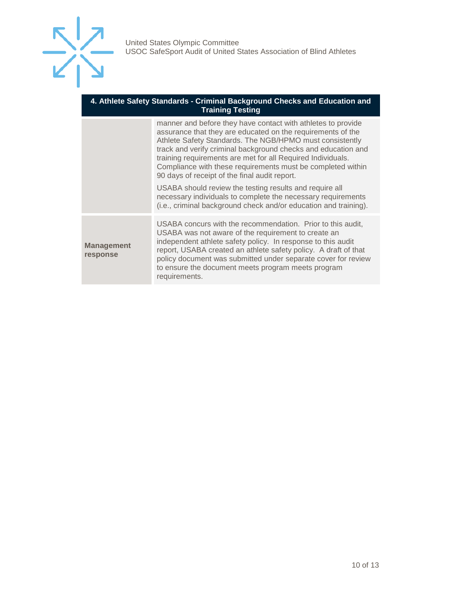

#### **4. Athlete Safety Standards - Criminal Background Checks and Education and Training Testing**

|                               | manner and before they have contact with athletes to provide<br>assurance that they are educated on the requirements of the<br>Athlete Safety Standards. The NGB/HPMO must consistently<br>track and verify criminal background checks and education and<br>training requirements are met for all Required Individuals.<br>Compliance with these requirements must be completed within<br>90 days of receipt of the final audit report.<br>USABA should review the testing results and require all<br>necessary individuals to complete the necessary requirements |
|-------------------------------|--------------------------------------------------------------------------------------------------------------------------------------------------------------------------------------------------------------------------------------------------------------------------------------------------------------------------------------------------------------------------------------------------------------------------------------------------------------------------------------------------------------------------------------------------------------------|
|                               | (i.e., criminal background check and/or education and training).                                                                                                                                                                                                                                                                                                                                                                                                                                                                                                   |
| <b>Management</b><br>response | USABA concurs with the recommendation. Prior to this audit,<br>USABA was not aware of the requirement to create an<br>independent athlete safety policy. In response to this audit<br>report, USABA created an athlete safety policy. A draft of that<br>policy document was submitted under separate cover for review<br>to ensure the document meets program meets program<br>requirements.                                                                                                                                                                      |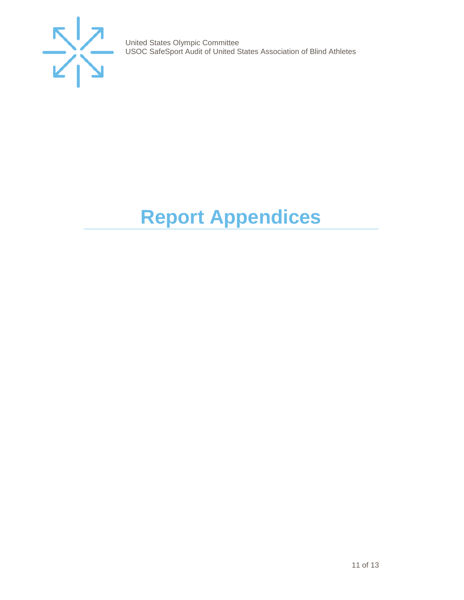

# <span id="page-10-0"></span>**Report Appendices**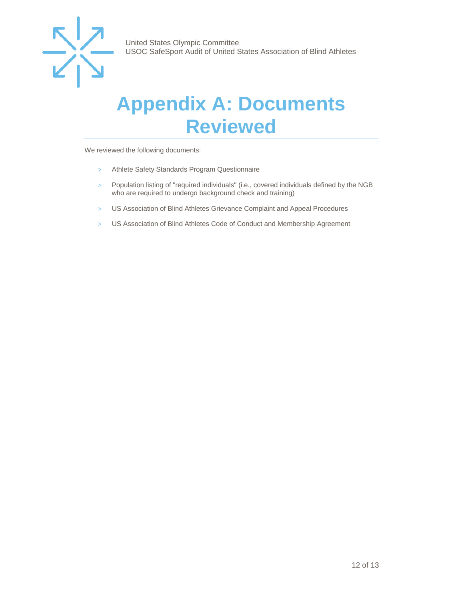

### <span id="page-11-0"></span>**Appendix A: Documents Reviewed**

We reviewed the following documents:

- > Athlete Safety Standards Program Questionnaire
- > Population listing of "required individuals" (i.e., covered individuals defined by the NGB who are required to undergo background check and training)
- > US Association of Blind Athletes Grievance Complaint and Appeal Procedures
- > US Association of Blind Athletes Code of Conduct and Membership Agreement